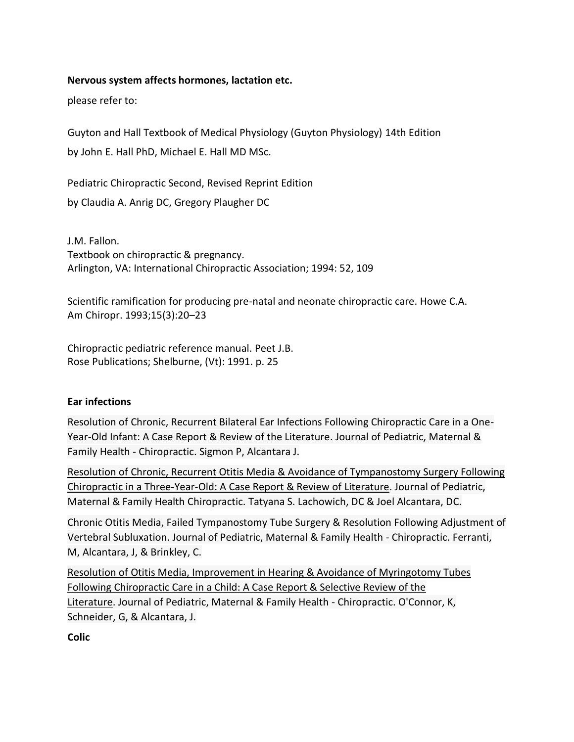### **Nervous system affects hormones, lactation etc.**

please refer to:

Guyton and Hall Textbook of Medical Physiology (Guyton Physiology) 14th Edition by [John E. Hall PhD,](https://www.amazon.com/s/ref=dp_byline_sr_book_1?ie=UTF8&field-author=John+E.+Hall+PhD&text=John+E.+Hall+PhD&sort=relevancerank&search-alias=books) [Michael E. Hall MD MSc.](https://www.amazon.com/s/ref=dp_byline_sr_book_2?ie=UTF8&field-author=Michael+E.+Hall+MD++MSc.&text=Michael+E.+Hall+MD++MSc.&sort=relevancerank&search-alias=books)

Pediatric Chiropractic Second, Revised Reprint Edition by [Claudia A. Anrig DC,](https://www.amazon.com/s/ref=dp_byline_sr_book_1?ie=UTF8&field-author=Claudia+A.+Anrig+DC&text=Claudia+A.+Anrig+DC&sort=relevancerank&search-alias=books) [Gregory Plaugher DC](https://www.amazon.com/s/ref=dp_byline_sr_book_2?ie=UTF8&field-author=Gregory+Plaugher+DC&text=Gregory+Plaugher+DC&sort=relevancerank&search-alias=books)

J.M. Fallon. Textbook on chiropractic & pregnancy. Arlington, VA: International Chiropractic Association; 1994: 52, 109

Scientific ramification for producing pre-natal and neonate chiropractic care. Howe C.A. Am Chiropr. 1993;15(3):20–23

Chiropractic pediatric reference manual. Peet J.B. Rose Publications; Shelburne, (Vt): 1991. p. 25

#### **Ear infections**

[Resolution of Chronic, Recurrent Bilateral Ear Infections Following Chiropractic Care in a One-](https://www.vertebralsubluxationresearch.com/2019/01/16/resolution-of-chronic-recurrent-bilateral-ear-infections-following-chiropractic-care-in-a-one-year-old-infant-a-case-report-review-of-the-literature/)[Year-Old Infant: A Case Report & Review of the Literature.](https://www.vertebralsubluxationresearch.com/2019/01/16/resolution-of-chronic-recurrent-bilateral-ear-infections-following-chiropractic-care-in-a-one-year-old-infant-a-case-report-review-of-the-literature/) Journal of Pediatric, Maternal & Family Health - Chiropractic. Sigmon P, Alcantara J.

[Resolution of Chronic, Recurrent Otitis Media & Avoidance of Tympanostomy Surgery Following](https://www.vertebralsubluxationresearch.com/2019/09/05/resolution-of-chronic-recurrent-otitis-media-avoidance-of-tympanostomy-surgery-following-chiropractic-in-a-three-year-old-a-case-report-review-of-literature/)  [Chiropractic in a Three-Year-Old: A Case Report & Review](https://www.vertebralsubluxationresearch.com/2019/09/05/resolution-of-chronic-recurrent-otitis-media-avoidance-of-tympanostomy-surgery-following-chiropractic-in-a-three-year-old-a-case-report-review-of-literature/) of Literature. Journal of Pediatric, Maternal & Family Health Chiropractic. Tatyana S. Lachowich, DC & Joel Alcantara, DC.

[Chronic Otitis Media, Failed Tympanostomy Tube Surgery & Resolution Following Adjustment of](https://www.vertebralsubluxationresearch.com/2016/01/01/chronic-otitis-media-failed-tympanostomy-tube-surgery-resolution-following-adjustment-of-vertebral-subluxation/)  [Vertebral Subluxation.](https://www.vertebralsubluxationresearch.com/2016/01/01/chronic-otitis-media-failed-tympanostomy-tube-surgery-resolution-following-adjustment-of-vertebral-subluxation/) Journal of Pediatric, Maternal & Family Health - Chiropractic. Ferranti, M, Alcantara, J, & Brinkley, C.

[Resolution of Otitis Media, Improvement in Hearing & Avoidance of Myringotomy Tubes](https://www.vertebralsubluxationresearch.com/2017/09/10/resolution-of-otitis-media-improvement-in-hearing-avoidance-of-myringotomy-tubes-following-chiropractic-care-in-a-child-a-case-report-selective-review-of-the-literature/)  [Following Chiropractic Care in a Child: A Case Report & Selective Review of the](https://www.vertebralsubluxationresearch.com/2017/09/10/resolution-of-otitis-media-improvement-in-hearing-avoidance-of-myringotomy-tubes-following-chiropractic-care-in-a-child-a-case-report-selective-review-of-the-literature/)  [Literature.](https://www.vertebralsubluxationresearch.com/2017/09/10/resolution-of-otitis-media-improvement-in-hearing-avoidance-of-myringotomy-tubes-following-chiropractic-care-in-a-child-a-case-report-selective-review-of-the-literature/) Journal of Pediatric, Maternal & Family Health - Chiropractic. O'Connor, K, Schneider, G, & Alcantara, J.

**Colic**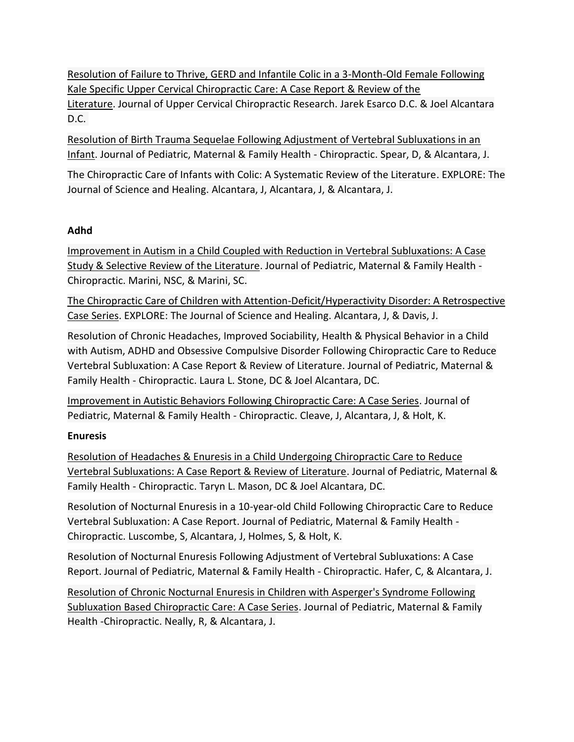[Resolution of Failure to Thrive, GERD and Infantile Colic in a 3-Month-Old Female Following](https://www.vertebralsubluxationresearch.com/2019/07/18/resolution-of-gerd-infantile-colic-and-failure-to-thrive-in-a-3-month-old-female-following-kale-specific-upper-cervical-chiropractic-care-a-case-report-review-of-the-literature/)  [Kale Specific Upper Cervical Chiropractic Care: A Case Report & Review of the](https://www.vertebralsubluxationresearch.com/2019/07/18/resolution-of-gerd-infantile-colic-and-failure-to-thrive-in-a-3-month-old-female-following-kale-specific-upper-cervical-chiropractic-care-a-case-report-review-of-the-literature/)  [Literature.](https://www.vertebralsubluxationresearch.com/2019/07/18/resolution-of-gerd-infantile-colic-and-failure-to-thrive-in-a-3-month-old-female-following-kale-specific-upper-cervical-chiropractic-care-a-case-report-review-of-the-literature/) Journal of Upper Cervical Chiropractic Research. Jarek Esarco D.C. & Joel Alcantara D.C.

[Resolution of Birth Trauma Sequelae Following Adjustment of Vertebral Subluxations in an](https://www.vertebralsubluxationresearch.com/2017/09/10/resolution-of-birth-trauma-sequelae-following-adjustment-of-vertebral-subluxations-in-an-infant/)  [Infant.](https://www.vertebralsubluxationresearch.com/2017/09/10/resolution-of-birth-trauma-sequelae-following-adjustment-of-vertebral-subluxations-in-an-infant/) Journal of Pediatric, Maternal & Family Health - Chiropractic. Spear, D, & Alcantara, J.

[The Chiropractic Care of Infants with Colic: A Systematic Review of the Literature.](http://www.explorejournal.com/action/showAbstract?pii=S1550-8307%2811%2900036-X&journalCode=JSCH) EXPLORE: The Journal of Science and Healing. Alcantara, J, Alcantara, J, & Alcantara, J.

## **Adhd**

[Improvement in Autism in a Child Coupled with Reduction in Vertebral Subluxations: A Case](https://www.vertebralsubluxationresearch.com/2010/01/01/improvement-in-autism-in-a-child-coupled-with-reduction-in-vertebral-subluxations-a-case-study-and-selective-review-of-the-literature/)  [Study & Selective Review of the Literature.](https://www.vertebralsubluxationresearch.com/2010/01/01/improvement-in-autism-in-a-child-coupled-with-reduction-in-vertebral-subluxations-a-case-study-and-selective-review-of-the-literature/) Journal of Pediatric, Maternal & Family Health - Chiropractic. Marini, NSC, & Marini, SC.

[The Chiropractic Care of Children with Attention-Deficit/Hyperactivity Disorder: A Retrospective](http://www.explorejournal.com/action/showAbstract?pii=S1550-8307%2810%2900003-0&journalCode=JSCH)  [Case Series.](http://www.explorejournal.com/action/showAbstract?pii=S1550-8307%2810%2900003-0&journalCode=JSCH) EXPLORE: The Journal of Science and Healing. Alcantara, J, & Davis, J.

[Resolution of Chronic Headaches, Improved Sociability, Health & Physical Behavior in a Child](https://www.vertebralsubluxationresearch.com/2019/05/30/resolution-of-chronic-headaches-improved-sociability-health-physical-behavior-in-a-child-with-autism-adhd-and-obsessive-compulsive-disorder-following-chiropractic-care-to-reduce-vertebral-subluxa/)  [with Autism, ADHD and Obsessive Compulsive Disorder Following Chiropractic Care to Reduce](https://www.vertebralsubluxationresearch.com/2019/05/30/resolution-of-chronic-headaches-improved-sociability-health-physical-behavior-in-a-child-with-autism-adhd-and-obsessive-compulsive-disorder-following-chiropractic-care-to-reduce-vertebral-subluxa/)  [Vertebral Subluxation: A Case Report & Review](https://www.vertebralsubluxationresearch.com/2019/05/30/resolution-of-chronic-headaches-improved-sociability-health-physical-behavior-in-a-child-with-autism-adhd-and-obsessive-compulsive-disorder-following-chiropractic-care-to-reduce-vertebral-subluxa/) of Literature. Journal of Pediatric, Maternal & Family Health - Chiropractic. Laura L. Stone, DC & Joel Alcantara, DC.

[Improvement in Autistic Behaviors Following Chiropractic Care: A Case Series.](https://www.vertebralsubluxationresearch.com/2017/09/10/improvement-in-autistic-behaviors-following-chiropractic-care-a-case-series/) Journal of Pediatric, Maternal & Family Health - Chiropractic. Cleave, J, Alcantara, J, & Holt, K.

## **Enuresis**

[Resolution of Headaches & Enuresis in a Child Undergoing Chiropractic Care to Reduce](https://www.vertebralsubluxationresearch.com/2019/05/03/resolution-of-headaches-enuresis-in-a-child-undergoing-chiropractic-care-to-reduce-vertebral-subluxations-a-case-report-review-of-literature/)  [Vertebral Subluxations: A Case Report & Review of Literature.](https://www.vertebralsubluxationresearch.com/2019/05/03/resolution-of-headaches-enuresis-in-a-child-undergoing-chiropractic-care-to-reduce-vertebral-subluxations-a-case-report-review-of-literature/) Journal of Pediatric, Maternal & Family Health - Chiropractic. Taryn L. Mason, DC & Joel Alcantara, DC.

[Resolution of Nocturnal Enuresis in a 10-year-old Child Following Chiropractic Care to Reduce](https://www.vertebralsubluxationresearch.com/2017/09/10/resolution-of-nocturnal-enuresis-in-a-10-year-old-child-following-chiropractic-care-to-reduce-vertebral-subluxation-a-case-report/)  [Vertebral Subluxation: A Case Report.](https://www.vertebralsubluxationresearch.com/2017/09/10/resolution-of-nocturnal-enuresis-in-a-10-year-old-child-following-chiropractic-care-to-reduce-vertebral-subluxation-a-case-report/) Journal of Pediatric, Maternal & Family Health - Chiropractic. Luscombe, S, Alcantara, J, Holmes, S, & Holt, K.

[Resolution of Nocturnal Enuresis Following Adjustment of Vertebral Subluxations: A Case](https://www.vertebralsubluxationresearch.com/2017/09/10/resolution-of-nocturnal-enuresis-following-adjustment-of-vertebral-subluxations-a-case-report/)  [Report.](https://www.vertebralsubluxationresearch.com/2017/09/10/resolution-of-nocturnal-enuresis-following-adjustment-of-vertebral-subluxations-a-case-report/) Journal of Pediatric, Maternal & Family Health - Chiropractic. Hafer, C, & Alcantara, J.

[Resolution of Chronic Nocturnal Enuresis in Children with Asperger's Syndrome Following](https://www.vertebralsubluxationresearch.com/2017/09/10/resolution-of-chronic-nocturnal-enuresis-in-children-with-aspergers-syndrome-following-subluxation-based-chiropractic-care-a-case-series/)  [Subluxation Based Chiropractic Care: A Case Series.](https://www.vertebralsubluxationresearch.com/2017/09/10/resolution-of-chronic-nocturnal-enuresis-in-children-with-aspergers-syndrome-following-subluxation-based-chiropractic-care-a-case-series/) Journal of Pediatric, Maternal & Family Health -Chiropractic. Neally, R, & Alcantara, J.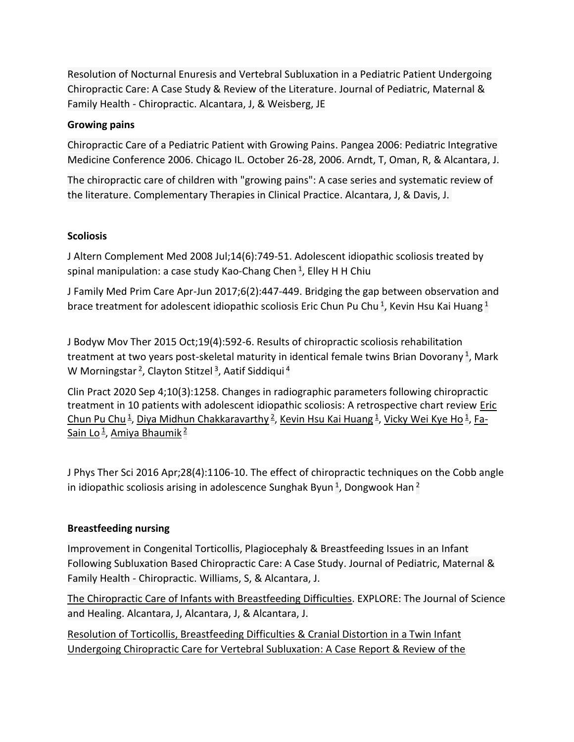[Resolution of Nocturnal Enuresis and Vertebral Subluxation in a Pediatric Patient Undergoing](https://www.vertebralsubluxationresearch.com/2017/09/11/resolution-of-nocturnal-enuresis-and-vertebral-subluxation-in-a-pediatric-patient-undergoing-chiropractic-care-a-case-report-review-of-the-literature/)  [Chiropractic Care: A Case Study & Review of the Literature.](https://www.vertebralsubluxationresearch.com/2017/09/11/resolution-of-nocturnal-enuresis-and-vertebral-subluxation-in-a-pediatric-patient-undergoing-chiropractic-care-a-case-report-review-of-the-literature/) Journal of Pediatric, Maternal & Family Health - Chiropractic. Alcantara, J, & Weisberg, JE

### **Growing pains**

[Chiropractic Care of a Pediatric Patient with Growing Pains.](http://icpa4kids.org/Chiropractic-Research/chiropractic-care-of-a-pediatric-patient-with-growing-pains.html) Pangea 2006: Pediatric Integrative Medicine Conference 2006. Chicago IL. October 26-28, 2006. Arndt, T, Oman, R, & Alcantara, J.

[The chiropractic care of children with "growing pains": A case series and systematic review of](http://www.ctcpjournal.com/article/S1744-3881(10)00061-7/abstract)  [the literature.](http://www.ctcpjournal.com/article/S1744-3881(10)00061-7/abstract) Complementary Therapies in Clinical Practice. Alcantara, J, & Davis, J.

### **Scoliosis**

J Altern Complement Med 2008 Jul;14(6):749-51. Adolescent idiopathic scoliosis treated by spinal manipulation: a case study [Kao-Chang Chen](https://pubmed.ncbi.nlm.nih.gov/?term=Chen+KC&cauthor_id=18673077) <sup>[1](https://pubmed.ncbi.nlm.nih.gov/18673077/#affiliation-1)</sup>, [Elley H H Chiu](https://pubmed.ncbi.nlm.nih.gov/?term=Chiu+EH&cauthor_id=18673077)

J Family Med Prim Care Apr-Jun 2017;6(2):447-449. Bridging the gap between observation and brace treatment for adolescent idiopathic scoliosis [Eric Chun Pu Chu](https://pubmed.ncbi.nlm.nih.gov/?term=Pu+Chu+EC&cauthor_id=29302566)<sup>[1](https://pubmed.ncbi.nlm.nih.gov/29302566/#affiliation-1)</sup>, [Kevin Hsu Kai Huang](https://pubmed.ncbi.nlm.nih.gov/?term=Kai+Huang+KH&cauthor_id=29302566)<sup>1</sup>

J Bodyw Mov Ther 2015 Oct;19(4):592-6. Results of chiropractic scoliosis rehabilitation treatment at two years post-skeletal maturity in identical female twins [Brian Dovorany](https://pubmed.ncbi.nlm.nih.gov/?term=Dovorany+B&cauthor_id=26592215)<sup>[1](https://pubmed.ncbi.nlm.nih.gov/26592215/#affiliation-1)</sup>, Mark [W Morningstar](https://pubmed.ncbi.nlm.nih.gov/?term=Morningstar+MW&cauthor_id=26592215) <sup>[2](https://pubmed.ncbi.nlm.nih.gov/26592215/#affiliation-2)</sup>, [Clayton Stitzel](https://pubmed.ncbi.nlm.nih.gov/?term=Stitzel+C&cauthor_id=26592215) <sup>[3](https://pubmed.ncbi.nlm.nih.gov/26592215/#affiliation-3)</sup>, [Aatif Siddiqui](https://pubmed.ncbi.nlm.nih.gov/?term=Siddiqui+A&cauthor_id=26592215) <sup>[4](https://pubmed.ncbi.nlm.nih.gov/26592215/#affiliation-4)</sup>

Clin Pract 2020 Sep 4;10(3):1258. Changes in radiographic parameters following chiropractic treatment in 10 patients with adolescent idiopathic scoliosis: A retrospective chart review Eric [Chun Pu Chu](https://pubmed.ncbi.nlm.nih.gov/?term=Pu+Chu+EC&cauthor_id=32952984)<sup>[1](https://pubmed.ncbi.nlm.nih.gov/32952984/#affiliation-1)</sup>, [Diya Midhun Chakkaravarthy](https://pubmed.ncbi.nlm.nih.gov/?term=Chakkaravarthy+DM&cauthor_id=32952984)<sup>[2](https://pubmed.ncbi.nlm.nih.gov/32952984/#affiliation-2)</sup>, [Kevin Hsu Kai Huang](https://pubmed.ncbi.nlm.nih.gov/?term=Huang+KHK&cauthor_id=32952984)<sup>1</sup>, [Vicky Wei Kye Ho](https://pubmed.ncbi.nlm.nih.gov/?term=Ho+VWK&cauthor_id=32952984)<sup>1</sup>, [Fa-](https://pubmed.ncbi.nlm.nih.gov/?term=Lo+FS&cauthor_id=32952984)<u>[Sain Lo](https://pubmed.ncbi.nlm.nih.gov/?term=Lo+FS&cauthor_id=32952984) <sup>[1](https://pubmed.ncbi.nlm.nih.gov/32952984/#affiliation-1)</sup>, [Amiya Bhaumik](https://pubmed.ncbi.nlm.nih.gov/?term=Bhaumik+A&cauthor_id=32952984) <sup>[2](https://pubmed.ncbi.nlm.nih.gov/32952984/#affiliation-2)</sup></u>

J Phys Ther Sci 2016 Apr;28(4):1106-10. The effect of chiropractic techniques on the Cobb angle in idiopathic scoliosis arising in adolescence [Sunghak Byun](https://pubmed.ncbi.nlm.nih.gov/?term=Byun+S&cauthor_id=27190435)  $^1$  $^1$ , [Dongwook Han](https://pubmed.ncbi.nlm.nih.gov/?term=Han+D&cauthor_id=27190435)  $^2$  $^2$ 

## **Breastfeeding nursing**

[Improvement in Congenital Torticollis, Plagiocephaly & Breastfeeding Issues in an Infant](https://www.vertebralsubluxationresearch.com/2017/09/10/improvement-in-congenital-torticollis-plagiocephaly-breastfeeding-issues-in-an-infant-following-subluxation-based-chiropractic-care-a-case-study/)  [Following Subluxation Based Chiropractic Care: A Case Study.](https://www.vertebralsubluxationresearch.com/2017/09/10/improvement-in-congenital-torticollis-plagiocephaly-breastfeeding-issues-in-an-infant-following-subluxation-based-chiropractic-care-a-case-study/) Journal of Pediatric, Maternal & Family Health - Chiropractic. Williams, S, & Alcantara, J.

[The Chiropractic Care of Infants with Breastfeeding Difficulties.](http://www.explorejournal.com/article/S1550-8307(15)00149-4/abstract) EXPLORE: The Journal of Science and Healing. Alcantara, J, Alcantara, J, & Alcantara, J.

[Resolution of Torticollis, Breastfeeding Difficulties](https://www.vertebralsubluxationresearch.com/2019/06/26/resolution-of-torticollis-breastfeeding-difficulties-cranial-distortion-in-a-twin-infant-undergoing-chiropractic-care-for-vertebral-subluxation-a-case-report-review-of-the-literature/) & Cranial Distortion in a Twin Infant [Undergoing Chiropractic Care for Vertebral Subluxation: A Case Report & Review of the](https://www.vertebralsubluxationresearch.com/2019/06/26/resolution-of-torticollis-breastfeeding-difficulties-cranial-distortion-in-a-twin-infant-undergoing-chiropractic-care-for-vertebral-subluxation-a-case-report-review-of-the-literature/)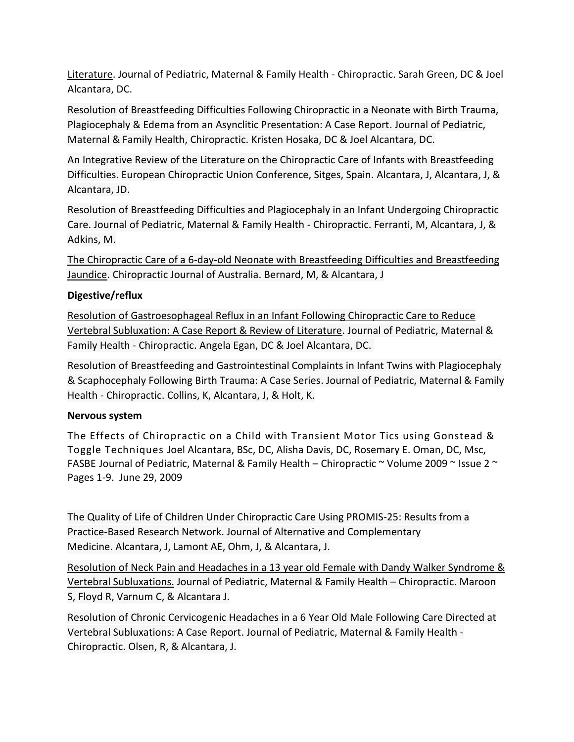[Literature.](https://www.vertebralsubluxationresearch.com/2019/06/26/resolution-of-torticollis-breastfeeding-difficulties-cranial-distortion-in-a-twin-infant-undergoing-chiropractic-care-for-vertebral-subluxation-a-case-report-review-of-the-literature/) Journal of Pediatric, Maternal & Family Health - Chiropractic. Sarah Green, DC & Joel Alcantara, DC.

[Resolution of Breastfeeding Difficulties Following Chiropractic in a Neonate with Birth Trauma,](https://www.vertebralsubluxationresearch.com/2019/11/11/resolution-of-breastfeeding-difficulties-following-chiropractic-in-a-neonate-with-birth-trauma-plagiocephaly-edema-from-an-asynclitic-presentation-a-case-report/)  [Plagiocephaly & Edema from an Asynclitic Presentation: A Case Report.](https://www.vertebralsubluxationresearch.com/2019/11/11/resolution-of-breastfeeding-difficulties-following-chiropractic-in-a-neonate-with-birth-trauma-plagiocephaly-edema-from-an-asynclitic-presentation-a-case-report/) Journal of Pediatric, Maternal & Family Health, Chiropractic. Kristen Hosaka, DC & Joel Alcantara, DC.

An Integrative Review of the Literature on the Chiropractic Care of Infants with Breastfeeding Difficulties. European Chiropractic Union Conference, Sitges, Spain. Alcantara, J, Alcantara, J, & Alcantara, JD.

[Resolution of Breastfeeding Difficulties and Plagiocephaly in an Infant Undergoing Chiropractic](https://www.vertebralsubluxationresearch.com/2017/09/10/resolution-of-breastfeeding-difficulties-and-plagiocephaly-in-an-infant-undergoing-chiropractic-care/)  [Care.](https://www.vertebralsubluxationresearch.com/2017/09/10/resolution-of-breastfeeding-difficulties-and-plagiocephaly-in-an-infant-undergoing-chiropractic-care/) Journal of Pediatric, Maternal & Family Health - Chiropractic. Ferranti, M, Alcantara, J, & Adkins, M.

[The Chiropractic Care of a 6-day-old Neonate with Breastfeeding Difficulties and Breastfeeding](https://search.informit.com.au/documentSummary;dn=773984601862460;res=IELHEA)  [Jaundice.](https://search.informit.com.au/documentSummary;dn=773984601862460;res=IELHEA) Chiropractic Journal of Australia. Bernard, M, & Alcantara, J

### **Digestive/reflux**

Resolution of Gastroesophageal Reflux [in an Infant Following Chiropractic Care to Reduce](https://www.vertebralsubluxationresearch.com/2019/05/03/resolution-of-gastroesophageal-reflux-in-an-infant-following-chiropractic-care-to-reduce-vertebral-subluxation-a-case-report-review-of-literature/)  [Vertebral Subluxation: A Case Report & Review of Literature.](https://www.vertebralsubluxationresearch.com/2019/05/03/resolution-of-gastroesophageal-reflux-in-an-infant-following-chiropractic-care-to-reduce-vertebral-subluxation-a-case-report-review-of-literature/) Journal of Pediatric, Maternal & Family Health - Chiropractic. Angela Egan, DC & Joel Alcantara, DC.

[Resolution of Breastfeeding and Gastrointestinal Complaints in Infant Twins with Plagiocephaly](https://www.vertebralsubluxationresearch.com/2017/09/10/resolution-of-breastfeeding-and-gastrointestinal-complaints-in-infant-twins-with-plagiocephaly-scaphocephaly-following-birth-trauma-a-case-series/)  [& Scaphocephaly Following Birth Trauma: A Case Series.](https://www.vertebralsubluxationresearch.com/2017/09/10/resolution-of-breastfeeding-and-gastrointestinal-complaints-in-infant-twins-with-plagiocephaly-scaphocephaly-following-birth-trauma-a-case-series/) Journal of Pediatric, Maternal & Family Health - Chiropractic. Collins, K, Alcantara, J, & Holt, K.

#### **Nervous system**

The Effects of Chiropractic on a Child with Transient Motor Tics using Gonstead & Toggle Techniques Joel Alcantara, BSc, DC, Alisha Davis, DC, Rosemary E. Oman, DC, Msc, FASBE Journal of Pediatric, Maternal & Family Health – Chiropractic  $\sim$  Volume 2009  $\sim$  Issue 2  $\sim$ Pages 1-9. June 29, 2009

[The Quality of Life of Children Under Chiropractic Care Using PROMIS-25: Results from a](https://www.ncbi.nlm.nih.gov/pubmed/29260883)  [Practice-Based Research Network.](https://www.ncbi.nlm.nih.gov/pubmed/29260883) Journal of Alternative and Complementary Medicine. Alcantara, J, Lamont AE, Ohm, J, & Alcantara, J.

[Resolution of Neck Pain and Headaches in a 13 year old Female with Dandy Walker Syndrome &](https://www.vertebralsubluxationresearch.com/2017/09/10/resolution-of-neck-pain-and-headaches-in-a-13-year-old-female-with-dandy-walker-syndrome-vertebral-subluxations/)  [Vertebral Subluxations.](https://www.vertebralsubluxationresearch.com/2017/09/10/resolution-of-neck-pain-and-headaches-in-a-13-year-old-female-with-dandy-walker-syndrome-vertebral-subluxations/) Journal of Pediatric, Maternal & Family Health – Chiropractic. Maroon S, Floyd R, Varnum C, & Alcantara J.

[Resolution of Chronic Cervicogenic Headaches in a 6 Year Old Male Following Care Directed at](https://www.vertebralsubluxationresearch.com/2017/09/10/resolution-of-chronic-cervicogenic-headaches-in-a-6-year-old-male-following-care-directed-at-vertebral-subluxations-a-case-report/)  [Vertebral Subluxations: A Case Report.](https://www.vertebralsubluxationresearch.com/2017/09/10/resolution-of-chronic-cervicogenic-headaches-in-a-6-year-old-male-following-care-directed-at-vertebral-subluxations-a-case-report/) Journal of Pediatric, Maternal & Family Health - Chiropractic. Olsen, R, & Alcantara, J.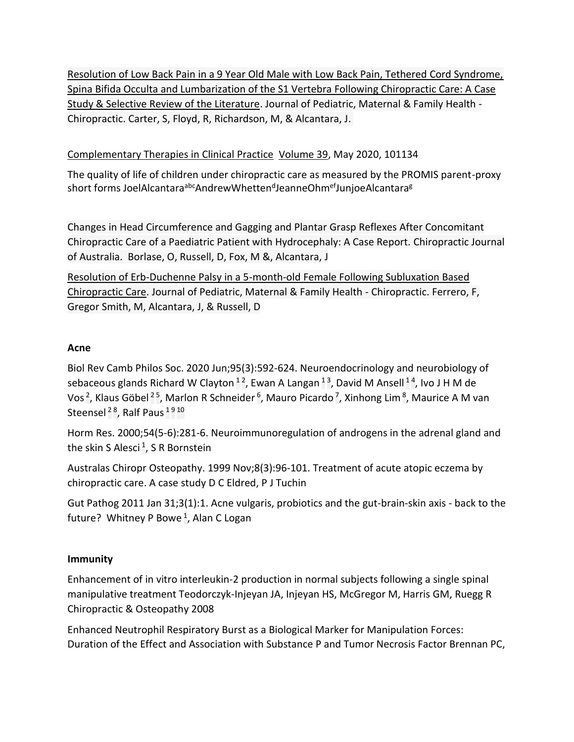[Resolution of Low Back Pain in a 9 Year Old Male with Low Back Pain, Tethered Cord Syndrome,](https://www.vertebralsubluxationresearch.com/2017/09/10/resolution-of-low-back-pain-in-a-9-year-old-male-with-low-back-pain-tethered-cord-syndrome-spina-bifida-occulta-and-lumbarization-of-the-s1-vertebra-following-chiropractic-care-a-case-study-selec/)  [Spina Bifida Occulta and Lumbarization of the S1 Vertebra Following Chiropractic Care: A Case](https://www.vertebralsubluxationresearch.com/2017/09/10/resolution-of-low-back-pain-in-a-9-year-old-male-with-low-back-pain-tethered-cord-syndrome-spina-bifida-occulta-and-lumbarization-of-the-s1-vertebra-following-chiropractic-care-a-case-study-selec/)  [Study & Selective Review of the Literature.](https://www.vertebralsubluxationresearch.com/2017/09/10/resolution-of-low-back-pain-in-a-9-year-old-male-with-low-back-pain-tethered-cord-syndrome-spina-bifida-occulta-and-lumbarization-of-the-s1-vertebra-following-chiropractic-care-a-case-study-selec/) Journal of Pediatric, Maternal & Family Health - Chiropractic. Carter, S, Floyd, R, Richardson, M, & Alcantara, J.

## [Complementary Therapies in Clinical Practice](https://www.sciencedirect.com/journal/complementary-therapies-in-clinical-practice) [Volume 39,](https://www.sciencedirect.com/journal/complementary-therapies-in-clinical-practice/vol/39/suppl/C) May 2020, 101134

The quality of life of children under chiropractic care as measured by the PROMIS parent-proxy short forms [JoelAlcantara](https://www.sciencedirect.com/science/article/abs/pii/S1744388119307479?via%3Dihub#!)<sup>abc</sup>[AndrewWhetten](https://www.sciencedirect.com/science/article/abs/pii/S1744388119307479?via%3Dihub#!)<sup>d</sup>[JeanneOhm](https://www.sciencedirect.com/science/article/abs/pii/S1744388119307479?via%3Dihub#!)<sup>ef</sup>[JunjoeAlcantara](https://www.sciencedirect.com/science/article/abs/pii/S1744388119307479?via%3Dihub#!)<sup>g</sup>

[Changes in Head Circumference and Gagging and Plantar Grasp Reflexes After Concomitant](http://www.cjaonline.com.au/index.php/cja/article/view/156)  [Chiropractic Care of a Paediatric Patient with Hydrocephaly: A Case Report.](http://www.cjaonline.com.au/index.php/cja/article/view/156) Chiropractic Journal of Australia. Borlase, O, Russell, D, Fox, M &, Alcantara, J

[Resolution of Erb-Duchenne Palsy in a 5-month-old Female Following Subluxation Based](https://www.vertebralsubluxationresearch.com/2017/09/10/resolution-of-erb-duchenne-palsy-in-a-5-month-old-female-following-subluxation-based-chiropractic-care/)  [Chiropractic Care.](https://www.vertebralsubluxationresearch.com/2017/09/10/resolution-of-erb-duchenne-palsy-in-a-5-month-old-female-following-subluxation-based-chiropractic-care/) Journal of Pediatric, Maternal & Family Health - Chiropractic. Ferrero, F, Gregor Smith, M, Alcantara, J, & Russell, D

## **Acne**

Biol Rev Camb Philos Soc. 2020 Jun;95(3):592-624. Neuroendocrinology and neurobiology of sebaceous glands [Richard W Clayton](https://pubmed.ncbi.nlm.nih.gov/?term=Clayton+RW&cauthor_id=31970855)  $^{12}$  $^{12}$  $^{12}$  $^{12}$ , [Ewan A Langan](https://pubmed.ncbi.nlm.nih.gov/?term=Langan+EA&cauthor_id=31970855)  $^{13}$  $^{13}$  $^{13}$ , [David M Ansell](https://pubmed.ncbi.nlm.nih.gov/?term=Ansell+DM&cauthor_id=31970855)  $^{14}$  $^{14}$  $^{14}$ , Ivo J H M de [Vos](https://pubmed.ncbi.nlm.nih.gov/?term=de+Vos+IJHM&cauthor_id=31970855)<sup>[2](https://pubmed.ncbi.nlm.nih.gov/31970855/#affiliation-2)</sup>, [Klaus Göbel](https://pubmed.ncbi.nlm.nih.gov/?term=G%C3%B6bel+K&cauthor_id=31970855)<sup>2[5](https://pubmed.ncbi.nlm.nih.gov/31970855/#affiliation-5)</sup>, [Marlon R Schneider](https://pubmed.ncbi.nlm.nih.gov/?term=Schneider+MR&cauthor_id=31970855) <sup>[6](https://pubmed.ncbi.nlm.nih.gov/31970855/#affiliation-6)</sup>, [Mauro Picardo](https://pubmed.ncbi.nlm.nih.gov/?term=Picardo+M&cauthor_id=31970855) <sup>[7](https://pubmed.ncbi.nlm.nih.gov/31970855/#affiliation-7)</sup>, [Xinhong Lim](https://pubmed.ncbi.nlm.nih.gov/?term=Lim+X&cauthor_id=31970855) <sup>[8](https://pubmed.ncbi.nlm.nih.gov/31970855/#affiliation-8)</sup>, Maurice A M van [Steensel](https://pubmed.ncbi.nlm.nih.gov/?term=van+Steensel+MAM&cauthor_id=31970855) <sup>[2](https://pubmed.ncbi.nlm.nih.gov/31970855/#affiliation-2)[8](https://pubmed.ncbi.nlm.nih.gov/31970855/#affiliation-8)</sup>, [Ralf Paus](https://pubmed.ncbi.nlm.nih.gov/?term=Paus+R&cauthor_id=31970855) <sup>[1](https://pubmed.ncbi.nlm.nih.gov/31970855/#affiliation-1)[9](https://pubmed.ncbi.nlm.nih.gov/31970855/#affiliation-9)[10](https://pubmed.ncbi.nlm.nih.gov/31970855/#affiliation-10)</sup>

Horm Res. 2000;54(5-6):281-6. Neuroimmunoregulation of androgens in the adrenal gland and the skin [S Alesci](https://pubmed.ncbi.nlm.nih.gov/?term=Alesci+S&cauthor_id=11595818) <sup>[1](https://pubmed.ncbi.nlm.nih.gov/11595818/#affiliation-1)</sup>, [S R Bornstein](https://pubmed.ncbi.nlm.nih.gov/?term=Bornstein+SR&cauthor_id=11595818)

Australas Chiropr Osteopathy. 1999 Nov;8(3):96-101. Treatment of acute atopic eczema by chiropractic care. A case study [D C Eldred,](https://pubmed.ncbi.nlm.nih.gov/?term=Eldred+DC&cauthor_id=17987197) [P J Tuchin](https://pubmed.ncbi.nlm.nih.gov/?term=Tuchin+PJ&cauthor_id=17987197)

Gut Pathog 2011 Jan 31;3(1):1. Acne vulgaris, probiotics and the gut-brain-skin axis - back to the future? [Whitney P Bowe](https://pubmed.ncbi.nlm.nih.gov/?term=Bowe+WP&cauthor_id=21281494) <sup>[1](https://pubmed.ncbi.nlm.nih.gov/21281494/#affiliation-1)</sup>, [Alan C Logan](https://pubmed.ncbi.nlm.nih.gov/?term=Logan+AC&cauthor_id=21281494)

## **Immunity**

Enhancement of in vitro interleukin-2 production in normal subjects following a single spinal manipulative treatment Teodorczyk-Injeyan JA, Injeyan HS, McGregor M, Harris GM, Ruegg R Chiropractic & Osteopathy 2008

Enhanced Neutrophil Respiratory Burst as a Biological Marker for Manipulation Forces: Duration of the Effect and Association with Substance P and Tumor Necrosis Factor Brennan PC,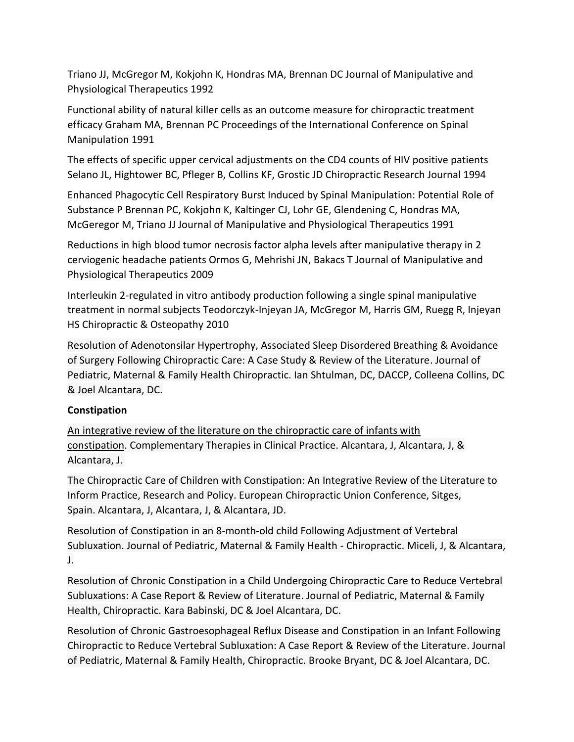Triano JJ, McGregor M, Kokjohn K, Hondras MA, Brennan DC Journal of Manipulative and Physiological Therapeutics 1992

Functional ability of natural killer cells as an outcome measure for chiropractic treatment efficacy Graham MA, Brennan PC Proceedings of the International Conference on Spinal Manipulation 1991

The effects of specific upper cervical adjustments on the CD4 counts of HIV positive patients Selano JL, Hightower BC, Pfleger B, Collins KF, Grostic JD Chiropractic Research Journal 1994

Enhanced Phagocytic Cell Respiratory Burst Induced by Spinal Manipulation: Potential Role of Substance P Brennan PC, Kokjohn K, Kaltinger CJ, Lohr GE, Glendening C, Hondras MA, McGeregor M, Triano JJ Journal of Manipulative and Physiological Therapeutics 1991

Reductions in high blood tumor necrosis factor alpha levels after manipulative therapy in 2 cerviogenic headache patients Ormos G, Mehrishi JN, Bakacs T Journal of Manipulative and Physiological Therapeutics 2009

Interleukin 2-regulated in vitro antibody production following a single spinal manipulative treatment in normal subjects Teodorczyk-Injeyan JA, McGregor M, Harris GM, Ruegg R, Injeyan HS Chiropractic & Osteopathy 2010

[Resolution of Adenotonsilar Hypertrophy, Associated Sleep Disordered Breathing & Avoidance](https://www.vertebralsubluxationresearch.com/2019/08/02/resolution-of-adenotonsilar-hypertrophy-associated-sleep-disordered-breathing-avoidance-of-surgery-following-chiropractic-care-a-case-study-review-of-the-literature/)  [of Surgery Following Chiropractic Care: A Case Study & Review of the Literature.](https://www.vertebralsubluxationresearch.com/2019/08/02/resolution-of-adenotonsilar-hypertrophy-associated-sleep-disordered-breathing-avoidance-of-surgery-following-chiropractic-care-a-case-study-review-of-the-literature/) Journal of Pediatric, Maternal & Family Health Chiropractic. Ian Shtulman, DC, DACCP, Colleena Collins, DC & Joel Alcantara, DC.

## **Constipation**

[An integrative review of the literature on the chiropractic care of infants with](http://www.ctcpjournal.com/article/S1744-3881(13)00077-7/abstract)  [constipation.](http://www.ctcpjournal.com/article/S1744-3881(13)00077-7/abstract) Complementary Therapies in Clinical Practice. Alcantara, J, Alcantara, J, & Alcantara, J.

The Chiropractic Care of Children with Constipation: An Integrative Review of the Literature to Inform Practice, Research and Policy. European Chiropractic Union Conference, Sitges, Spain. Alcantara, J, Alcantara, J, & Alcantara, JD.

[Resolution of Constipation in an 8-month-old child Following Adjustment of Vertebral](https://www.vertebralsubluxationresearch.com/2017/09/10/resolution-of-constipation-in-an-8-month-old-child-following-adjustment-of-vertebral-subluxation/)  [Subluxation.](https://www.vertebralsubluxationresearch.com/2017/09/10/resolution-of-constipation-in-an-8-month-old-child-following-adjustment-of-vertebral-subluxation/) Journal of Pediatric, Maternal & Family Health - Chiropractic. Miceli, J, & Alcantara, J.

[Resolution of Chronic Constipation in a Child Undergoing Chiropractic Care to Reduce Vertebral](https://www.vertebralsubluxationresearch.com/2019/10/07/resolution-of-chronic-constipation-in-a-child-undergoing-chiropractic-care-to-reduce-vertebral-subluxations-a-case-report-review-of-literature/)  [Subluxations: A Case Report & Review of Literature.](https://www.vertebralsubluxationresearch.com/2019/10/07/resolution-of-chronic-constipation-in-a-child-undergoing-chiropractic-care-to-reduce-vertebral-subluxations-a-case-report-review-of-literature/) Journal of Pediatric, Maternal & Family Health, Chiropractic. Kara Babinski, DC & Joel Alcantara, DC.

[Resolution of Chronic Gastroesophageal Reflux Disease and Constipation in an Infant Following](https://www.vertebralsubluxationresearch.com/2019/11/01/resolution-of-chronic-gastroesophageal-reflux-disease-and-constipation-in-an-infant-following-chiropractic-to-reduce-vertebral-subluxation-a-case-report-review-of-the-literature/)  [Chiropractic to Reduce Vertebral Subluxation: A Case Report & Review of the Literature.](https://www.vertebralsubluxationresearch.com/2019/11/01/resolution-of-chronic-gastroesophageal-reflux-disease-and-constipation-in-an-infant-following-chiropractic-to-reduce-vertebral-subluxation-a-case-report-review-of-the-literature/) Journal of Pediatric, Maternal & Family Health, Chiropractic. Brooke Bryant, DC & Joel Alcantara, DC.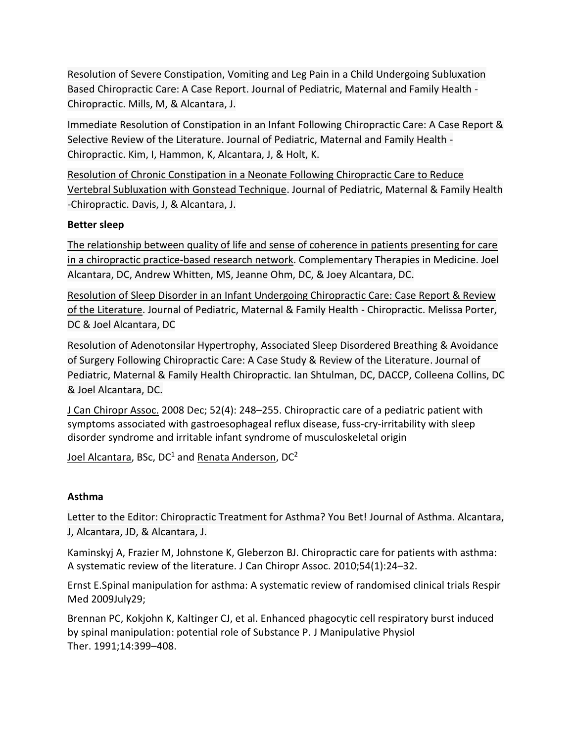[Resolution of Severe Constipation, Vomiting and Leg Pain in a Child Undergoing Subluxation](https://www.vertebralsubluxationresearch.com/2017/09/10/resolution-of-severe-constipation-vomiting-and-leg-pain-in-a-child-undergoing-subluxation-based-chiropractic-care-a-case-report/)  [Based Chiropractic Care: A Case Report.](https://www.vertebralsubluxationresearch.com/2017/09/10/resolution-of-severe-constipation-vomiting-and-leg-pain-in-a-child-undergoing-subluxation-based-chiropractic-care-a-case-report/) Journal of Pediatric, Maternal and Family Health - Chiropractic. Mills, M, & Alcantara, J.

[Immediate Resolution of Constipation in an Infant Following Chiropractic Care: A Case Report &](https://www.vertebralsubluxationresearch.com/2017/09/10/immediate-resolution-of-constipation-in-an-infant-following-chiropractic-care-a-case-report-selective-review-of-literature/)  [Selective Review of the Literature.](https://www.vertebralsubluxationresearch.com/2017/09/10/immediate-resolution-of-constipation-in-an-infant-following-chiropractic-care-a-case-report-selective-review-of-literature/) Journal of Pediatric, Maternal and Family Health - Chiropractic. Kim, I, Hammon, K, Alcantara, J, & Holt, K.

[Resolution of Chronic Constipation in a Neonate Following Chiropractic Care to Reduce](https://www.vertebralsubluxationresearch.com/2017/09/10/resolution-of-chronic-constipation-in-a-neonate-following-chiropractic-care-to-reduce-vertebral-subluxation-with-gonstead-technique/)  [Vertebral Subluxation with Gonstead Technique.](https://www.vertebralsubluxationresearch.com/2017/09/10/resolution-of-chronic-constipation-in-a-neonate-following-chiropractic-care-to-reduce-vertebral-subluxation-with-gonstead-technique/) Journal of Pediatric, Maternal & Family Health -Chiropractic. Davis, J, & Alcantara, J.

## **Better sleep**

[The relationship between quality of life and sense of coherence in patients presenting for care](https://www.sciencedirect.com/science/article/pii/S0965229919308398?dgcid=rss_sd_all#!)  [in a chiropractic practice-based research network.](https://www.sciencedirect.com/science/article/pii/S0965229919308398?dgcid=rss_sd_all#!) Complementary Therapies in Medicine. Joel Alcantara, DC, Andrew Whitten, MS, Jeanne Ohm, DC, & Joey Alcantara, DC.

[Resolution of Sleep Disorder in an Infant Undergoing Chiropractic Care: Case Report & Review](https://www.vertebralsubluxationresearch.com/2019/07/25/resolution-of-sleep-disorder-in-an-infant-undergoing-chiropractic-care-case-report-review-of-the-literature/)  [of the Literature.](https://www.vertebralsubluxationresearch.com/2019/07/25/resolution-of-sleep-disorder-in-an-infant-undergoing-chiropractic-care-case-report-review-of-the-literature/) Journal of Pediatric, Maternal & Family Health - Chiropractic. Melissa Porter, DC & Joel Alcantara, DC

[Resolution of Adenotonsilar Hypertrophy, Associated Sleep Disordered Breathing & Avoidance](https://www.vertebralsubluxationresearch.com/2019/08/02/resolution-of-adenotonsilar-hypertrophy-associated-sleep-disordered-breathing-avoidance-of-surgery-following-chiropractic-care-a-case-study-review-of-the-literature/)  [of Surgery Following Chiropractic Care: A Case Study & Review of the Literature.](https://www.vertebralsubluxationresearch.com/2019/08/02/resolution-of-adenotonsilar-hypertrophy-associated-sleep-disordered-breathing-avoidance-of-surgery-following-chiropractic-care-a-case-study-review-of-the-literature/) Journal of Pediatric, Maternal & Family Health Chiropractic. Ian Shtulman, DC, DACCP, Colleena Collins, DC & Joel Alcantara, DC.

[J Can Chiropr Assoc.](https://www.ncbi.nlm.nih.gov/pmc/articles/PMC2597889/) 2008 Dec; 52(4): 248–255. Chiropractic care of a pediatric patient with symptoms associated with gastroesophageal reflux disease, fuss-cry-irritability with sleep disorder syndrome and irritable infant syndrome of musculoskeletal origin

[Joel Alcantara,](https://www.ncbi.nlm.nih.gov/pubmed/?term=Alcantara%20J%5BAuthor%5D&cauthor=true&cauthor_uid=19066699) BSc, DC<sup>1</sup> and [Renata Anderson,](https://www.ncbi.nlm.nih.gov/pubmed/?term=Anderson%20R%5BAuthor%5D&cauthor=true&cauthor_uid=19066699) DC<sup>2</sup>

# **Asthma**

[Letter to the Editor: Chiropractic Treatment for Asthma? You Bet!](http://www.tandfonline.com/doi/full/10.3109/02770901003668421) Journal of Asthma. Alcantara, J, Alcantara, JD, & Alcantara, J.

Kaminskyj A, Frazier M, Johnstone K, Gleberzon BJ. Chiropractic care for patients with asthma: A systematic review of the literature. J Can Chiropr Assoc. 2010;54(1):24–32.

Ernst E.Spinal manipulation for asthma: A systematic review of randomised clinical trials Respir Med 2009July29;

Brennan PC, Kokjohn K, Kaltinger CJ, et al. Enhanced phagocytic cell respiratory burst induced by spinal manipulation: potential role of Substance P. J Manipulative Physiol Ther. 1991;14:399–408.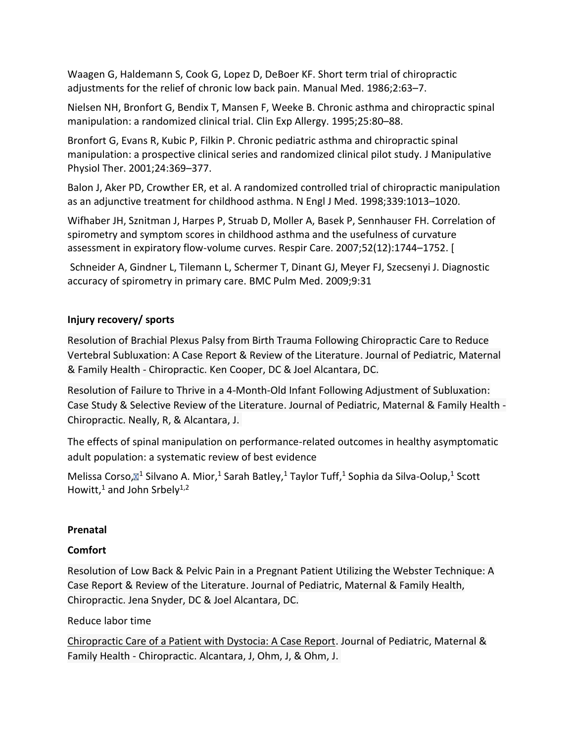Waagen G, Haldemann S, Cook G, Lopez D, DeBoer KF. Short term trial of chiropractic adjustments for the relief of chronic low back pain. Manual Med. 1986;2:63–7.

Nielsen NH, Bronfort G, Bendix T, Mansen F, Weeke B. Chronic asthma and chiropractic spinal manipulation: a randomized clinical trial. Clin Exp Allergy. 1995;25:80–88.

Bronfort G, Evans R, Kubic P, Filkin P. Chronic pediatric asthma and chiropractic spinal manipulation: a prospective clinical series and randomized clinical pilot study. J Manipulative Physiol Ther. 2001;24:369–377.

Balon J, Aker PD, Crowther ER, et al. A randomized controlled trial of chiropractic manipulation as an adjunctive treatment for childhood asthma. N Engl J Med. 1998;339:1013–1020.

Wifhaber JH, Sznitman J, Harpes P, Struab D, Moller A, Basek P, Sennhauser FH. Correlation of spirometry and symptom scores in childhood asthma and the usefulness of curvature assessment in expiratory flow-volume curves. Respir Care. 2007;52(12):1744–1752. [

Schneider A, Gindner L, Tilemann L, Schermer T, Dinant GJ, Meyer FJ, Szecsenyi J. Diagnostic accuracy of spirometry in primary care. BMC Pulm Med. 2009;9:31

# **Injury recovery/ sports**

[Resolution of Brachial Plexus Palsy from Birth Trauma Following Chiropractic Care to Reduce](https://www.vertebralsubluxationresearch.com/2019/05/16/resolution-of-brachial-plexus-palsy-from-birth-trauma-following-chiropractic-care-to-reduce-vertebral-subluxation-a-case-report-review-of-the-literature/)  [Vertebral Subluxation: A Case Report & Review of the Literature.](https://www.vertebralsubluxationresearch.com/2019/05/16/resolution-of-brachial-plexus-palsy-from-birth-trauma-following-chiropractic-care-to-reduce-vertebral-subluxation-a-case-report-review-of-the-literature/) Journal of Pediatric, Maternal & Family Health - Chiropractic. Ken Cooper, DC & Joel Alcantara, DC.

[Resolution of Failure to Thrive in a 4-Month-Old Infant Following Adjustment of Subluxation:](https://www.vertebralsubluxationresearch.com/2017/09/10/resolution-of-failure-to-thrive-in-a-4-month-old-infant-following-adjustment-of-subluxation-case-study-selective-review-of-the-literature/)  [Case Study & Selective Review of the Literature.](https://www.vertebralsubluxationresearch.com/2017/09/10/resolution-of-failure-to-thrive-in-a-4-month-old-infant-following-adjustment-of-subluxation-case-study-selective-review-of-the-literature/) Journal of Pediatric, Maternal & Family Health - Chiropractic. Neally, R, & Alcantara, J.

The effects of spinal manipulation on performance-related outcomes in healthy asymptomatic adult population: a systematic review of best evidence

[Melissa Corso,](https://www.ncbi.nlm.nih.gov/pubmed/?term=Corso%20M%5BAuthor%5D&cauthor=true&cauthor_uid=31183076)⊠<sup>1</sup> [Silvano A. Mior,](https://www.ncbi.nlm.nih.gov/pubmed/?term=Mior%20SA%5BAuthor%5D&cauthor=true&cauthor_uid=31183076)<sup>1</sup> [Sarah Batley,](https://www.ncbi.nlm.nih.gov/pubmed/?term=Batley%20S%5BAuthor%5D&cauthor=true&cauthor_uid=31183076)<sup>1</sup> [Taylor Tuff,](https://www.ncbi.nlm.nih.gov/pubmed/?term=Tuff%20T%5BAuthor%5D&cauthor=true&cauthor_uid=31183076)<sup>1</sup> [Sophia da Silva-Oolup,](https://www.ncbi.nlm.nih.gov/pubmed/?term=da%20Silva-Oolup%20S%5BAuthor%5D&cauthor=true&cauthor_uid=31183076)<sup>1</sup> Scott [Howitt,](https://www.ncbi.nlm.nih.gov/pubmed/?term=Howitt%20S%5BAuthor%5D&cauthor=true&cauthor_uid=31183076) $1$  and [John Srbely](https://www.ncbi.nlm.nih.gov/pubmed/?term=Srbely%20J%5BAuthor%5D&cauthor=true&cauthor_uid=31183076) $1,2$ 

# **Prenatal**

# **Comfort**

Resolution of Low Back & Pelvic Pain in [a Pregnant Patient Utilizing the Webster Technique: A](https://www.vertebralsubluxationresearch.com/2019/12/07/resolution-of-low-back-pelvic-pain-in-a-pregnant-patient-utilizing-the-webster-technique-a-case-report-review-of-the-literature/)  [Case Report & Review of the Literature.](https://www.vertebralsubluxationresearch.com/2019/12/07/resolution-of-low-back-pelvic-pain-in-a-pregnant-patient-utilizing-the-webster-technique-a-case-report-review-of-the-literature/) Journal of Pediatric, Maternal & Family Health, Chiropractic. Jena Snyder, DC & Joel Alcantara, DC.

## Reduce labor time

[Chiropractic Care of a Patient with Dystocia: A Case Report.](http://icpa4kids.org/Chiropractic-Research/chiropractic-care-of-a-patient-with-dystocia-a-case-report.html) Journal of Pediatric, Maternal & Family Health - Chiropractic. Alcantara, J, Ohm, J, & Ohm, J.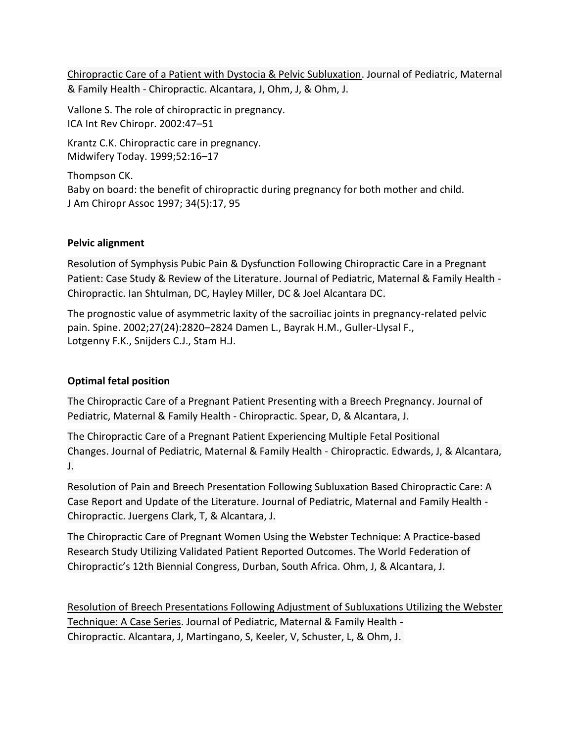[Chiropractic Care of a Patient with Dystocia & Pelvic Subluxation.](https://www.vertebralsubluxationresearch.com/2009/02/01/chiropractic-care-of-a-patient-with-dystocia-and-pelvic-subluxation/) Journal of Pediatric, Maternal & Family Health - Chiropractic. Alcantara, J, Ohm, J, & Ohm, J.

Vallone S. The role of chiropractic in pregnancy. ICA Int Rev Chiropr. 2002:47–51

Krantz C.K. Chiropractic care in pregnancy. Midwifery Today. 1999;52:16–17

Thompson CK. Baby on board: the benefit of chiropractic during pregnancy for both mother and child. J Am Chiropr Assoc 1997; 34(5):17, 95

## **Pelvic alignment**

[Resolution of Symphysis Pubic Pain & Dysfunction Following Chiropractic Care in a Pregnant](https://www.vertebralsubluxationresearch.com/2019/04/24/resolution-of-symphysis-pubic-pain-dysfunction-following-chiropractic-care-in-a-pregnant-patient-case-study-review-of-the-literature/)  [Patient: Case Study & Review of the Literature.](https://www.vertebralsubluxationresearch.com/2019/04/24/resolution-of-symphysis-pubic-pain-dysfunction-following-chiropractic-care-in-a-pregnant-patient-case-study-review-of-the-literature/) Journal of Pediatric, Maternal & Family Health - Chiropractic. Ian Shtulman, DC, Hayley Miller, DC & Joel Alcantara DC.

The prognostic value of asymmetric laxity of the sacroiliac joints in pregnancy-related pelvic pain. Spine. 2002;27(24):2820–2824 Damen L., Bayrak H.M., Guller-Llysal F., Lotgenny F.K., Snijders C.J., Stam H.J.

# **Optimal fetal position**

[The Chiropractic Care of a Pregnant Patient Presenting with a Breech Pregnancy.](https://www.vertebralsubluxationresearch.com/2017/09/10/the-chiropractic-care-of-a-pregnant-patient-presenting-with-a-breech-pregnancy/) Journal of Pediatric, Maternal & Family Health - Chiropractic. Spear, D, & Alcantara, J.

[The Chiropractic Care of a Pregnant Patient Experiencing Multiple Fetal Positional](https://www.vertebralsubluxationresearch.com/2017/09/10/the-chiropractic-care-of-a-pregnant-patient-experiencing-multiple-fetal-positional-changes/)  [Changes.](https://www.vertebralsubluxationresearch.com/2017/09/10/the-chiropractic-care-of-a-pregnant-patient-experiencing-multiple-fetal-positional-changes/) Journal of Pediatric, Maternal & Family Health - Chiropractic. Edwards, J, & Alcantara, J.

[Resolution of Pain and Breech Presentation Following Subluxation Based Chiropractic Care: A](https://www.vertebralsubluxationresearch.com/2017/09/10/resolution-of-pain-and-breech-presentation-following-subluxation-based-chiropractic-care-a-case-report-and-update-of-the-literature/)  [Case Report and Update of the Literature.](https://www.vertebralsubluxationresearch.com/2017/09/10/resolution-of-pain-and-breech-presentation-following-subluxation-based-chiropractic-care-a-case-report-and-update-of-the-literature/) Journal of Pediatric, Maternal and Family Health - Chiropractic. Juergens Clark, T, & Alcantara, J.

The Chiropractic Care of Pregnant Women Using the Webster Technique: A Practice-based Research Study Utilizing Validated Patient Reported Outcomes. The World Federation of Chiropractic's 12th Biennial Congress, Durban, South Africa. Ohm, J, & Alcantara, J.

[Resolution of Breech Presentations Following Adjustment of Subluxations Utilizing the Webster](https://www.vertebralsubluxationresearch.com/2017/09/10/resolution-of-breech-presentations-following-adjustment-of-subluxations-utilizing-the-webster-technique-a-case-series/)  [Technique: A Case](https://www.vertebralsubluxationresearch.com/2017/09/10/resolution-of-breech-presentations-following-adjustment-of-subluxations-utilizing-the-webster-technique-a-case-series/) Series. Journal of Pediatric, Maternal & Family Health - Chiropractic. Alcantara, J, Martingano, S, Keeler, V, Schuster, L, & Ohm, J.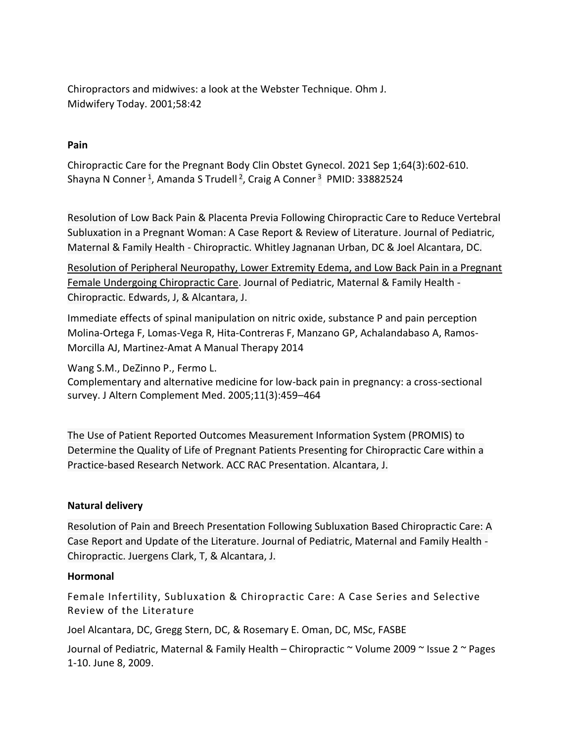Chiropractors and midwives: a look at the Webster Technique. Ohm J. Midwifery Today. 2001;58:42

#### **Pain**

Chiropractic Care for the Pregnant Body Clin Obstet Gynecol. 2021 Sep 1;64(3):602-610. [Shayna N Conner](https://pubmed.ncbi.nlm.nih.gov/?term=Conner+SN&cauthor_id=33882524)<sup>[1](https://pubmed.ncbi.nlm.nih.gov/33882524/#affiliation-1)</sup>, [Amanda S Trudell](https://pubmed.ncbi.nlm.nih.gov/?term=Trudell+AS&cauthor_id=33882524)<sup>[2](https://pubmed.ncbi.nlm.nih.gov/33882524/#affiliation-2)</sup>, [Craig A Conner](https://pubmed.ncbi.nlm.nih.gov/?term=Conner+CA&cauthor_id=33882524)<sup>[3](https://pubmed.ncbi.nlm.nih.gov/33882524/#affiliation-3)</sup> PMID: 33882524

[Resolution of Low Back Pain & Placenta Previa Following Chiropractic Care to Reduce Vertebral](https://www.vertebralsubluxationresearch.com/2019/05/16/resolution-of-low-back-pain-placenta-previa-following-chiropractic-care-to-reduce-vertebral-subluxation-in-a-pregnant-woman-a-case-report-review-of-literature/)  [Subluxation in a Pregnant Woman: A Case Report & Review of Literature.](https://www.vertebralsubluxationresearch.com/2019/05/16/resolution-of-low-back-pain-placenta-previa-following-chiropractic-care-to-reduce-vertebral-subluxation-in-a-pregnant-woman-a-case-report-review-of-literature/) Journal of Pediatric, Maternal & Family Health - Chiropractic. Whitley Jagnanan Urban, DC & Joel Alcantara, DC.

[Resolution of Peripheral Neuropathy, Lower Extremity Edema, and Low Back Pain in a Pregnant](https://www.vertebralsubluxationresearch.com/2017/09/10/resolution-of-peripheral-neuropathy-lower-extremity-edema-and-low-back-pain-in-a-pregnant-female-undergoing-chiropractic-care/)  [Female Undergoing Chiropractic Care.](https://www.vertebralsubluxationresearch.com/2017/09/10/resolution-of-peripheral-neuropathy-lower-extremity-edema-and-low-back-pain-in-a-pregnant-female-undergoing-chiropractic-care/) Journal of Pediatric, Maternal & Family Health - Chiropractic. Edwards, J, & Alcantara, J.

Immediate effects of spinal manipulation on nitric oxide, substance P and pain perception Molina-Ortega F, Lomas-Vega R, Hita-Contreras F, Manzano GP, Achalandabaso A, Ramos-Morcilla AJ, Martinez-Amat A Manual Therapy 2014

Wang S.M., DeZinno P., Fermo L.

Complementary and alternative medicine for low-back pain in pregnancy: a cross-sectional survey. J Altern Complement Med. 2005;11(3):459–464

The Use of Patient Reported Outcomes Measurement Information System (PROMIS) to Determine the Quality of Life of Pregnant Patients Presenting for Chiropractic Care within a Practice-based Research Network. ACC RAC Presentation. Alcantara, J.

#### **Natural delivery**

[Resolution of Pain and Breech Presentation Following Subluxation Based Chiropractic Care: A](https://www.vertebralsubluxationresearch.com/2017/09/10/resolution-of-pain-and-breech-presentation-following-subluxation-based-chiropractic-care-a-case-report-and-update-of-the-literature/)  [Case Report and Update of the Literature.](https://www.vertebralsubluxationresearch.com/2017/09/10/resolution-of-pain-and-breech-presentation-following-subluxation-based-chiropractic-care-a-case-report-and-update-of-the-literature/) Journal of Pediatric, Maternal and Family Health - Chiropractic. Juergens Clark, T, & Alcantara, J.

#### **Hormonal**

Female Infertility, Subluxation & Chiropractic Care: A Case Series and Selective Review of the Literature

Joel Alcantara, DC, Gregg Stern, DC, & Rosemary E. Oman, DC, MSc, FASBE

Journal of Pediatric, Maternal & Family Health – Chiropractic ~ Volume 2009 ~ Issue 2 ~ Pages 1-10. June 8, 2009.